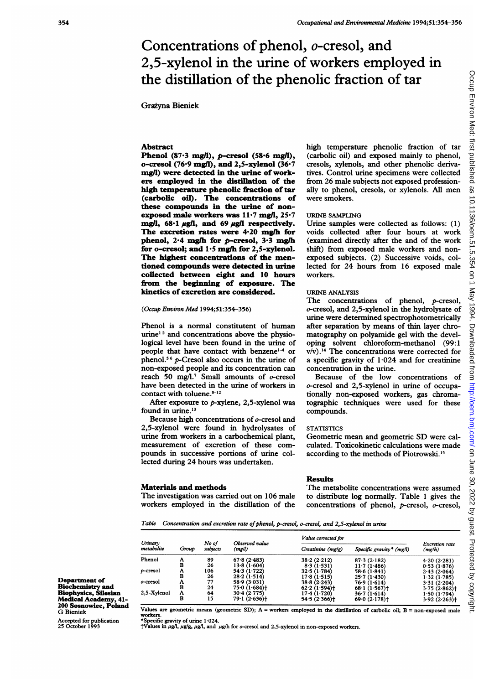# Concentrations of phenol, o-cresol, and 2,5-xylenol in the urine of workers employed in the distillation of the phenolic fraction of tar

# Grazyna Bieniek

# Abstract

Phenol  $(87.3 \text{ mg/l}), p$ -cresol  $(58.6 \text{ mg/l}),$ o-cresol (76.9 mgl), and 2,5-xylenol (36-7 mg/) were detected in the urine of workers employed in the distillation of the high temperature phenolic fraction of tar (carbolic oil). The concentrations of these compounds in the urine of nonexposed male workers was  $11·7$  mg/l,  $25·7$ mg/l,  $68.1 \mu$ g/l, and  $69 \mu$ g/l respectively. The excretion rates were 4.20 mg/h for phenol, 2<sup>-4</sup> mg/h for p-cresol, 3<sup>-3</sup> mg/h for o-cresol; and  $1.5$  mg/h for 2,5-xylenol. The highest concentrations of the mentioned compounds were detected in urine collected between eight and 10 hours from the beginning of exposure. The kinetics of excretion are considered.

#### (Occup Environ Med 1994;51:354-356)

Phenol is a normal constitutent of human urine<sup>12</sup> and concentrations above the physiological level have been found in the urine of people that have contact with benzene<sup> $-4$ </sup> or phenol.<sup>56</sup> p-Cresol also occurs in the urine of non-exposed people and its concentration can reach 50 mg/l.<sup>7</sup> Small amounts of  $o$ -cresol have been detected in the urine of workers in contact with toluene.<sup>8-12</sup>

After exposure to p-xylene, 2,5-xylenol was found in urine.<sup>13</sup>

Because high concentrations of o-cresol and 2,5-xylenol were found in hydrolysates of urine from workers in a carbochemical plant, measurement of excretion of these compounds in successive portions of urine collected during 24 hours was undertaken.

#### Materials and methods

The investigation was carried out on 106 male workers employed in the distillation of the high temperature phenolic fraction of tar (carbolic oil) and exposed mainly to phenol, cresols, xylenols, and other phenolic derivatives. Control urine specimens were collected from 26 male subjects not exposed professionally to phenol, cresols, or xylenols. All men were smokers.

## URINE SAMPLING

Urine samples were collected as follows: (1) voids collected after four hours at work (examined directly after the and of the work shift) from exposed male workers and nonexposed subjects. (2) Successive voids, collected for 24 hours from 16 exposed male workers.

### URINE ANALYSIS

The concentrations of phenol, p-cresol, o-cresol, and 2,5-xylenol in the hydrolysate of urine were determined spectrophotometrically after separation by means of thin layer chromatography on polyamide gel with the developing solvent chloroform-methanol (99:1  $v/v$ ).<sup>14</sup> The concentrations were corrected for a specific gravity of  $1.024$  and for creatinine concentration in the urine.

Because of the low concentrations of o-cresol and 2,5-xylenol in urine of occupationally non-exposed workers, gas chromatographic techniques were used for these compounds.

# **STATISTICS**

Geometric mean and geometric SD were calculated. Toxicokinetic calculations were made according to the methods of Piotrowski."5

## Results

The metabolite concentrations were assumed to distribute log normally. Table <sup>1</sup> gives the concentrations of phenol, p-cresol, o-cresol,

Table Concentration and excretion rate of phenol, p-cresol, o-cresol, and 2,5-xylenol in urine

| Urinary<br>metabolite | Group | No of<br>subjects | Observed value<br>(mg/l) | Value corrected for |                          |                         |
|-----------------------|-------|-------------------|--------------------------|---------------------|--------------------------|-------------------------|
|                       |       |                   |                          | Creatinine (mg/g)   | Specific gravity* (mg/l) | Excretion rate<br>(mgh) |
| Phenol                | A     | 89                | 67.8(2.483)              | 38.2(2.212)         | 87.3(2.182)              | 4.20(2.281)             |
|                       | в     | 26                | 13.8(1.604)              | 8.3(1.531)          | 11.7(1.486)              | 0.53(1.876)             |
| p-cresol              | Α     | 106               | 54.3(1.722)              | 32.5(1.784)         | 58.6(1.841)              | 2.43(2.064)             |
|                       | в     | 26                | 28.2(1.514)              | 17.8(1.515)         | 25.7(1.430)              | 1.32(1.785)             |
| o-cresol              | A     | 77                | 58.9 (3.031)             | 38.8(2.243)         | 76.9(1.614)              | 3.31(2.204)             |
|                       | B     | 24                | 75.0(1.684)              | 62.2(1.594)         | 68.1(1.567)              | 3.75(2.862)             |
| 2,5-Xylenol           | Α     | 64                | 30.4(2.775)              | 17.4(1.720)         | 36.7(1.614)              | 1.50(1.794)             |
|                       | B     | 15                | 79.1(2.636)              | 54.5(2.366)         | 69.0(2.178)              | 3.92(2.263)             |

Department of Biochemistry and Biophysics, Silesian Medical Academy, 41- 200 Sosnowiec, Poland G Bieniek

Accepted for publication 25 October 1993

Values are geometric means (geometric SD);  $A =$  workers employed in the distillation of carbolic oil;  $B =$  non-exposed male workers. \*Specific gravity of urine <sup>1</sup> -024.

 $\dagger$ Values in  $\mu$ g/l,  $\mu$ g/g,  $\mu$ g/l, and  $\mu$ g/h for o-cresol and 2,5-xylenol in non-exposed workers.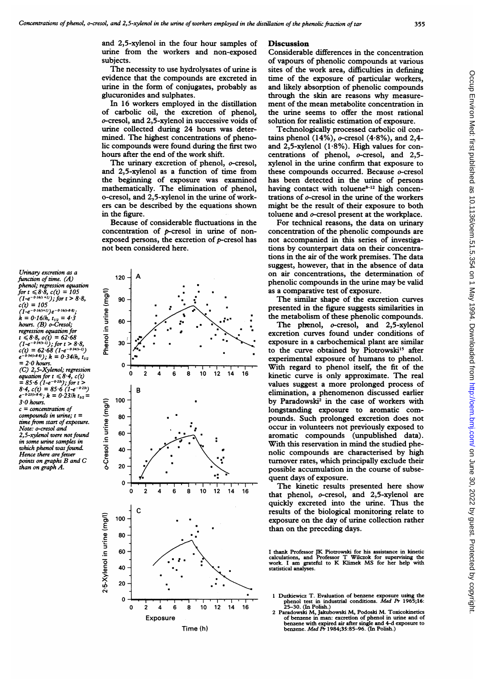and 2,5-xylenol in the four hour samples of urine from the workers and non-exposed subjects.

The necessity to use hydrolysates of urine is evidence that the compounds are excreted in urine in the form of conjugates, probably as glucuronides and sulphates.

In 16 workers employed in the distillation of carbolic oil, the excretion of phenol, o-cresol, and 2,5-xylenol in successive voids of urine collected during 24 hours was determined. The highest concentrations of phenolic compounds were found during the first two hours after the end of the work shift.

The urinary excretion of phenol, o-cresol, and 2,5-xylenol as a function of time from the beginning of exposure was examined mathematically. The elimination of phenol, o-cresol, and 2,5-xylenol in the urine of workers can be described by the equations shown in the figure.

Because of considerable fluctuations in the concentration of p-cresol in urine of nonexposed persons, the excretion of  $p$ -cresol has not been considered here.

120

function of time.  $(A)$ phenol; regression equation for  $t \le 8.8$ ,  $c(t) = 105$ <br>(1-e<sup>-0-16(t+1)</sup>); for  $t > 8.8$ ,  $c(t) = 105$ <br>(1-e<sup>-0-16(t+1)</sup>)e<sup>-0-16(t-8-8</sup>)  $k = 0.16/h$ ,  $t_{1/2} = 4.3$ hours. (B) o-Cresol; regression equation for  $r \leq 8.8$ ,  $o(t) = 62.68$ <br>  $(1-e^{-0.34(t-1)})$ ; for  $t > 8.8$ ,<br>  $c(t) = 62.68$   $(1-e^{-0.34(t-1)})$ <br>  $e^{-0.34(t-8.9)})$ ;  $k = 0.34/h$ ,  $t_{1/2}$  $= 2.0$  hours. (C) 2,5-Xylenol; regression equation for  $t \le 8.4$ ,  $c(t)$ <br>= 85.6 (1-e<sup>-0.23</sup>); for t

Urinary excretion as a

 $8.4, c(t) = 85.6 (1-e^{-0.23t})$ <br> $e^{-0.23(t-8.4)}$ ;  $k = 0.23/h$   $t_{1/2} =$  $3.0$  hours.  $c = concentration$ compounds in urine:  $t =$ time from start of exposure.

Note: o-cresol and 2,5-xylenol were not found in some urine samples in which phenol was found. Hence there are fewer points on graphs B and C than on graph A.



### **Discussion**

Considerable differences in the concentration of vapours of phenolic compounds at various sites of the work area, difficulties in defining time of the exposure of particular workers, and likely absorption of phenolic compounds through the skin are reasons why measurement of the mean metabolite concentration in the urine seems to offer the most rational solution for realistic estimation of exposure.

Technologically processed carbolic oil contains phenol (14%),  $o$ -cresol (4.8%), and 2,4and 2,5-xylenol (1.8%). High values for concentrations of phenol, o-cresol, and 2,5xylenol in the urine confirm that exposure to these compounds occurred. Because o-cresol has been detected in the urine of persons having contact with toluene<sup>8-12</sup> high concentrations of  $o$ -cresol in the urine of the workers might be the result of their exposure to both toluene and o-cresol present at the workplace.

For technical reasons, the data on urinary concentration of the phenolic compounds are not accompanied in this series of investigations by counterpart data on their concentrations in the air of the work premises. The data suggest, however, that in the absence of data on air concentrations, the determination of phenolic compounds in the urine may be valid as a comparative test of exposure.

The similar shape of the excretion curves presented in the figure suggests similarities in the metabolism of these phenolic compounds.

The phenol, o-cresol, and 2,5-xylenol excretion curves found under conditions of exposure in a carbochemical plant are similar to the curve obtained by Piotrowski<sup>15</sup> after experimental exposure of humans to phenol. With regard to phenol itself, the fit of the kinetic curve is only approximate. The real values suggest a more prolonged process of elimination, a phenomenon discussed earlier by Paradowski<sup>2</sup> in the case of workers with longstanding exposure to aromatic compounds. Such prolonged excretion does not occur in volunteers not previously exposed to aromatic compounds (unpublished data). With this reservation in mind the studied phenolic compounds are characterised by high turnover rates, which principally exclude their possible accumulation in the course of subsequent days of exposure.

The kinetic results presented here show that phenol, o-cresol, and 2,5-xylenol are quickly excreted into the urine. Thus the results of the biological monitoring relate to exposure on the day of urine collection rather than on the preceding days.

I thank Professor JK Piotrowski for his assistance in kinetic calculations, and Professor T Wilczok for supervising the work. I am grateful to K Klimek MS for her help with statistical analyses.

- 1 Durkiewicz T. Evaluation of benzene exposure using the<br>phenol test in industrial conditions. Med  $\overline{P}$  1965;16:<br>25–30. (In Polish.)
- Paradowski M, Jakubowski M, Podoski M. Toxicokinetics aradowski M., jakubowski M., Pouoski M. I oxiculateles<br>of benzene in man: excretion of phenol in urine and of<br>benzene with expired air after single and 4-d exposure to<br>benzene. Med Pr 1984;35:85–96. (In Polish.)